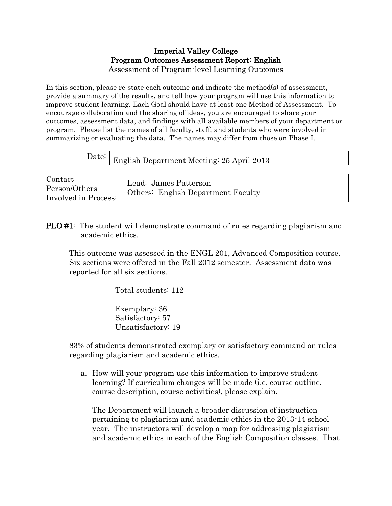## Imperial Valley College Program Outcomes Assessment Report: English

Assessment of Program-level Learning Outcomes

In this section, please re-state each outcome and indicate the method(s) of assessment, provide a summary of the results, and tell how your program will use this information to improve student learning. Each Goal should have at least one Method of Assessment. To encourage collaboration and the sharing of ideas, you are encouraged to share your outcomes, assessment data, and findings with all available members of your department or program. Please list the names of all faculty, staff, and students who were involved in summarizing or evaluating the data. The names may differ from those on Phase I.

Date: English Department Meeting: 25 April 2013

Contact Person/Others Involved in Process:

Lead: James Patterson Others: English Department Faculty

PLO #1: The student will demonstrate command of rules regarding plagiarism and academic ethics.

This outcome was assessed in the ENGL 201, Advanced Composition course. Six sections were offered in the Fall 2012 semester. Assessment data was reported for all six sections.

Total students: 112

Exemplary: 36 Satisfactory: 57 Unsatisfactory: 19

83% of students demonstrated exemplary or satisfactory command on rules regarding plagiarism and academic ethics.

a. How will your program use this information to improve student learning? If curriculum changes will be made (i.e. course outline, course description, course activities), please explain.

The Department will launch a broader discussion of instruction pertaining to plagiarism and academic ethics in the 2013-14 school year. The instructors will develop a map for addressing plagiarism and academic ethics in each of the English Composition classes. That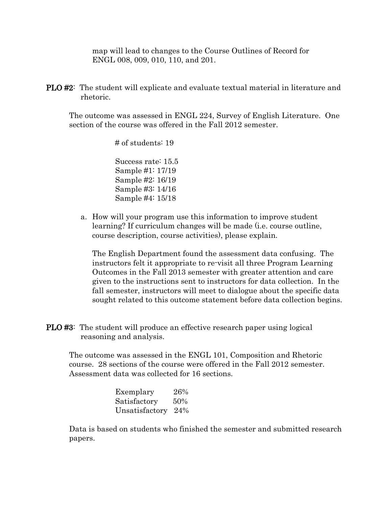map will lead to changes to the Course Outlines of Record for ENGL 008, 009, 010, 110, and 201.

PLO #2: The student will explicate and evaluate textual material in literature and rhetoric.

The outcome was assessed in ENGL 224, Survey of English Literature. One section of the course was offered in the Fall 2012 semester.

# of students: 19

Success rate: 15.5 Sample #1: 17/19 Sample #2: 16/19 Sample #3: 14/16 Sample #4: 15/18

a. How will your program use this information to improve student learning? If curriculum changes will be made (i.e. course outline, course description, course activities), please explain.

The English Department found the assessment data confusing. The instructors felt it appropriate to re-visit all three Program Learning Outcomes in the Fall 2013 semester with greater attention and care given to the instructions sent to instructors for data collection. In the fall semester, instructors will meet to dialogue about the specific data sought related to this outcome statement before data collection begins.

PLO #3: The student will produce an effective research paper using logical reasoning and analysis.

The outcome was assessed in the ENGL 101, Composition and Rhetoric course. 28 sections of the course were offered in the Fall 2012 semester. Assessment data was collected for 16 sections.

| Exemplary      | 26% |
|----------------|-----|
| Satisfactory   | 50% |
| Unsatisfactory | 24% |

Data is based on students who finished the semester and submitted research papers.